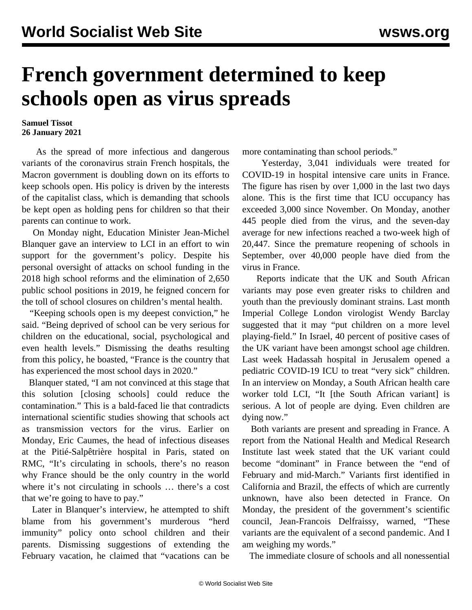## **French government determined to keep schools open as virus spreads**

## **Samuel Tissot 26 January 2021**

 As the spread of more infectious and dangerous variants of the coronavirus strain French hospitals, the Macron government is doubling down on its efforts to keep schools open. His policy is driven by the interests of the capitalist class, which is demanding that schools be kept open as holding pens for children so that their parents can continue to work.

 On Monday night, Education Minister Jean-Michel Blanquer gave an interview to LCI in an effort to win support for the government's policy. Despite his personal oversight of attacks on school funding in the 2018 high school reforms and the elimination of 2,650 public school positions in 2019, he feigned concern for the toll of school closures on children's mental health.

 "Keeping schools open is my deepest conviction," he said. "Being deprived of school can be very serious for children on the educational, social, psychological and even health levels." Dismissing the deaths resulting from this policy, he boasted, "France is the country that has experienced the most school days in 2020."

 Blanquer stated, "I am not convinced at this stage that this solution [closing schools] could reduce the contamination." This is a bald-faced lie that contradicts international scientific studies showing that schools act as transmission vectors for the virus. Earlier on Monday, Eric Caumes, the head of infectious diseases at the Pitié-Salpêtrière hospital in Paris, stated on RMC, "It's circulating in schools, there's no reason why France should be the only country in the world where it's not circulating in schools … there's a cost that we're going to have to pay."

 Later in Blanquer's interview, he attempted to shift blame from his government's murderous "herd immunity" policy onto school children and their parents. Dismissing suggestions of extending the February vacation, he claimed that "vacations can be

more contaminating than school periods."

 Yesterday, 3,041 individuals were treated for COVID-19 in hospital intensive care units in France. The figure has risen by over 1,000 in the last two days alone. This is the first time that ICU occupancy has exceeded 3,000 since November. On Monday, another 445 people died from the virus, and the seven-day average for new infections reached a two-week high of 20,447. Since the premature reopening of schools in September, over 40,000 people have died from the virus in France.

 Reports indicate that the UK and South African variants may pose even greater risks to children and youth than the previously dominant strains. Last month Imperial College London virologist Wendy Barclay suggested that it may "put children on a more level playing-field." In Israel, 40 percent of positive cases of the UK variant have been amongst school age children. Last week Hadassah hospital in Jerusalem opened a pediatric COVID-19 ICU to treat "very sick" children. In an interview on Monday, a South African health care worker told LCI, "It [the South African variant] is serious. A lot of people are dying. Even children are dying now."

 Both variants are present and spreading in France. A report from the National Health and Medical Research Institute last week stated that the UK variant could become "dominant" in France between the "end of February and mid-March." Variants first identified in California and Brazil, the effects of which are currently unknown, have also been detected in France. On Monday, the president of the government's scientific council, Jean-Francois Delfraissy, warned, "These variants are the equivalent of a second pandemic. And I am weighing my words."

The immediate closure of schools and all nonessential